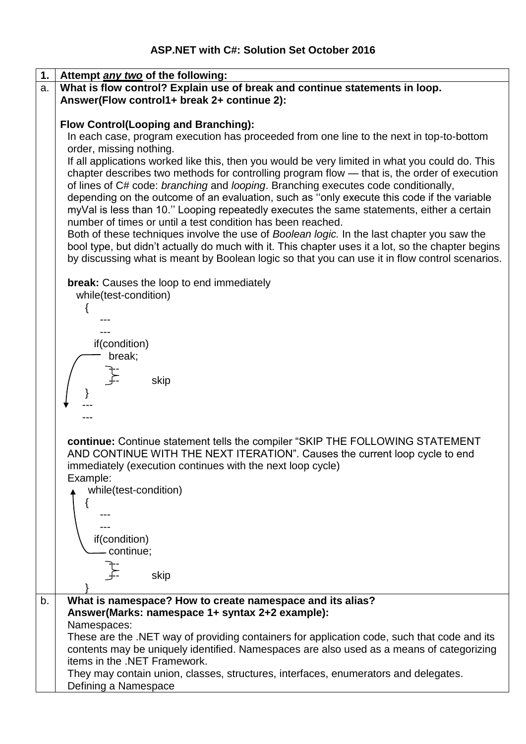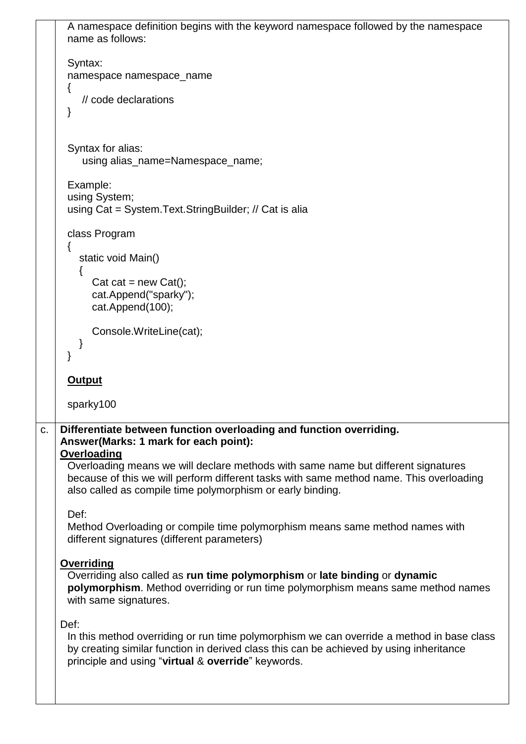```
A namespace definition begins with the keyword namespace followed by the namespace 
     name as follows: 
     Syntax:
     namespace namespace_name 
     \{ // code declarations 
     }
     Syntax for alias:
        using alias_name=Namespace_name;
     Example:
     using System;
     using Cat = System.Text.StringBuilder; // Cat is alia
     class Program
     {
        static void Main()
        {
          Cat cat = new Cat();
          cat.Append("sparky");
          cat.Append(100);
          Console.WriteLine(cat);
        }
     }
     Output
     sparky100
c. Differentiate between function overloading and function overriding.
   Answer(Marks: 1 mark for each point):
   Overloading
     Overloading means we will declare methods with same name but different signatures 
     because of this we will perform different tasks with same method name. This overloading 
     also called as compile time polymorphism or early binding.
     Def:
     Method Overloading or compile time polymorphism means same method names with 
     different signatures (different parameters)
   Overriding
     Overriding also called as run time polymorphism or late binding or dynamic 
     polymorphism. Method overriding or run time polymorphism means same method names 
     with same signatures.
   Def:
     In this method overriding or run time polymorphism we can override a method in base class 
     by creating similar function in derived class this can be achieved by using inheritance 
     principle and using "virtual & override" keywords.
```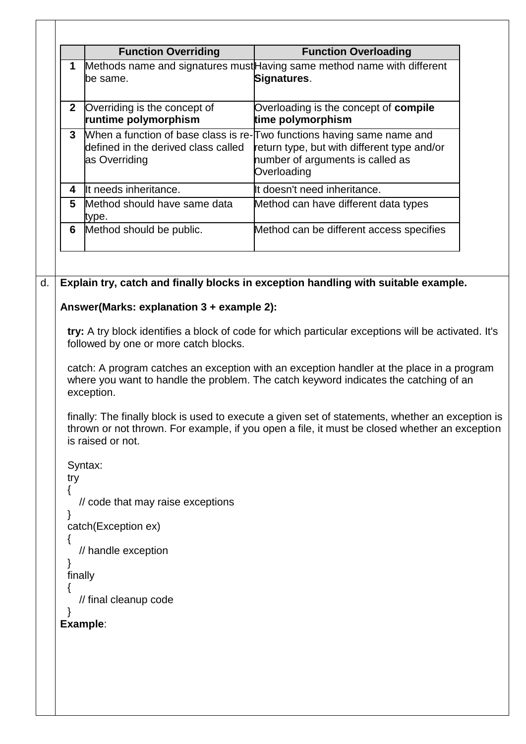```
Function Overriding Function Overloading
      1 Methods name and signatures mustHaving same method name with different
        be same.
                                           Signatures.
     2 Overriding is the concept of 
         runtime polymorphism
                                           Overloading is the concept of compile 
                                           time polymorphism
      3 When a function of base class is re-Two functions having same name and
        defined in the derived class called 
        as Overriding
                                           return type, but with different type and/or 
                                            number of arguments is called as 
                                           Overloading
     4 It needs inheritance. It doesn't need inheritance.
     5 Method should have same data 
         type.
                                           Method can have different data types
     6 Method should be public. Method can be different access specifies
d. Explain try, catch and finally blocks in exception handling with suitable example.
   Answer(Marks: explanation 3 + example 2):
     try: A try block identifies a block of code for which particular exceptions will be activated. It's 
     followed by one or more catch blocks. 
     catch: A program catches an exception with an exception handler at the place in a program 
     where you want to handle the problem. The catch keyword indicates the catching of an 
     exception. 
     finally: The finally block is used to execute a given set of statements, whether an exception is 
     thrown or not thrown. For example, if you open a file, it must be closed whether an exception 
     is raised or not.
     Syntax:
     try
     {
        // code that may raise exceptions
     }
     catch(Exception ex)
     {
        // handle exception
     }
     finally
     \{ // final cleanup code
     }
   Example:
```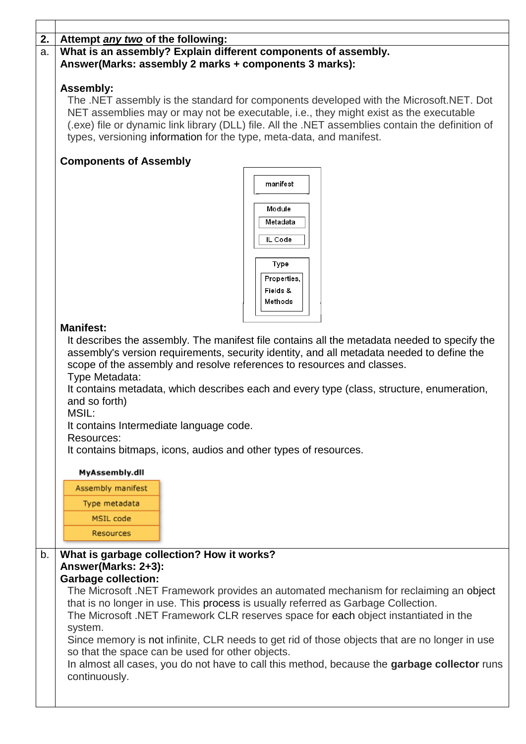| 2. | Attempt any two of the following:                                                                 |  |  |
|----|---------------------------------------------------------------------------------------------------|--|--|
| a. | What is an assembly? Explain different components of assembly.                                    |  |  |
|    | Answer(Marks: assembly 2 marks + components 3 marks):                                             |  |  |
|    |                                                                                                   |  |  |
|    | <b>Assembly:</b>                                                                                  |  |  |
|    |                                                                                                   |  |  |
|    | The .NET assembly is the standard for components developed with the Microsoft.NET. Dot            |  |  |
|    | NET assemblies may or may not be executable, i.e., they might exist as the executable             |  |  |
|    | (.exe) file or dynamic link library (DLL) file. All the .NET assemblies contain the definition of |  |  |
|    | types, versioning information for the type, meta-data, and manifest.                              |  |  |
|    |                                                                                                   |  |  |
|    | <b>Components of Assembly</b>                                                                     |  |  |
|    |                                                                                                   |  |  |
|    | manifest                                                                                          |  |  |
|    |                                                                                                   |  |  |
|    | Module                                                                                            |  |  |
|    |                                                                                                   |  |  |
|    | Metadata                                                                                          |  |  |
|    | IL Code                                                                                           |  |  |
|    |                                                                                                   |  |  |
|    |                                                                                                   |  |  |
|    | Type                                                                                              |  |  |
|    | Properties,                                                                                       |  |  |
|    | Fields &                                                                                          |  |  |
|    | Methods                                                                                           |  |  |
|    |                                                                                                   |  |  |
|    |                                                                                                   |  |  |
|    | <b>Manifest:</b>                                                                                  |  |  |
|    | It describes the assembly. The manifest file contains all the metadata needed to specify the      |  |  |
|    | assembly's version requirements, security identity, and all metadata needed to define the         |  |  |
|    | scope of the assembly and resolve references to resources and classes.                            |  |  |
|    | Type Metadata:                                                                                    |  |  |
|    |                                                                                                   |  |  |
|    | It contains metadata, which describes each and every type (class, structure, enumeration,         |  |  |
|    | and so forth)                                                                                     |  |  |
|    | MSIL:                                                                                             |  |  |
|    | It contains Intermediate language code.                                                           |  |  |
|    | Resources:                                                                                        |  |  |
|    | It contains bitmaps, icons, audios and other types of resources.                                  |  |  |
|    |                                                                                                   |  |  |
|    | MyAssembly.dll                                                                                    |  |  |
|    |                                                                                                   |  |  |
|    | Assembly manifest                                                                                 |  |  |
|    | Type metadata                                                                                     |  |  |
|    |                                                                                                   |  |  |
|    | MSIL code                                                                                         |  |  |
|    | Resources                                                                                         |  |  |
|    |                                                                                                   |  |  |
| b. | What is garbage collection? How it works?                                                         |  |  |
|    | Answer(Marks: 2+3):                                                                               |  |  |
|    | <b>Garbage collection:</b>                                                                        |  |  |
|    | The Microsoft .NET Framework provides an automated mechanism for reclaiming an object             |  |  |
|    |                                                                                                   |  |  |
|    | that is no longer in use. This process is usually referred as Garbage Collection.                 |  |  |
|    | The Microsoft .NET Framework CLR reserves space for each object instantiated in the               |  |  |
|    | system.                                                                                           |  |  |
|    | Since memory is not infinite, CLR needs to get rid of those objects that are no longer in use     |  |  |
|    | so that the space can be used for other objects.                                                  |  |  |
|    | In almost all cases, you do not have to call this method, because the garbage collector runs      |  |  |
|    |                                                                                                   |  |  |
|    | continuously.                                                                                     |  |  |
|    |                                                                                                   |  |  |
|    |                                                                                                   |  |  |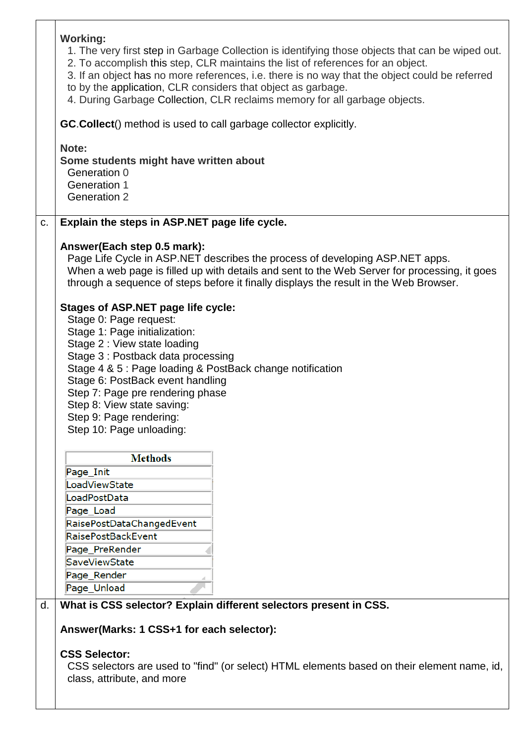|    | <b>Working:</b><br>1. The very first step in Garbage Collection is identifying those objects that can be wiped out.<br>2. To accomplish this step, CLR maintains the list of references for an object.<br>3. If an object has no more references, i.e. there is no way that the object could be referred<br>to by the application, CLR considers that object as garbage.<br>4. During Garbage Collection, CLR reclaims memory for all garbage objects.                                                                                                                                                                                                                                                      |
|----|-------------------------------------------------------------------------------------------------------------------------------------------------------------------------------------------------------------------------------------------------------------------------------------------------------------------------------------------------------------------------------------------------------------------------------------------------------------------------------------------------------------------------------------------------------------------------------------------------------------------------------------------------------------------------------------------------------------|
|    | GC. Collect() method is used to call garbage collector explicitly.                                                                                                                                                                                                                                                                                                                                                                                                                                                                                                                                                                                                                                          |
|    | Note:<br>Some students might have written about<br>Generation 0<br><b>Generation 1</b><br><b>Generation 2</b>                                                                                                                                                                                                                                                                                                                                                                                                                                                                                                                                                                                               |
| C. | Explain the steps in ASP.NET page life cycle.                                                                                                                                                                                                                                                                                                                                                                                                                                                                                                                                                                                                                                                               |
|    | Answer(Each step 0.5 mark):<br>Page Life Cycle in ASP.NET describes the process of developing ASP.NET apps.<br>When a web page is filled up with details and sent to the Web Server for processing, it goes<br>through a sequence of steps before it finally displays the result in the Web Browser.<br><b>Stages of ASP.NET page life cycle:</b><br>Stage 0: Page request:<br>Stage 1: Page initialization:<br>Stage 2 : View state loading<br>Stage 3: Postback data processing<br>Stage 4 & 5 : Page loading & PostBack change notification<br>Stage 6: PostBack event handling<br>Step 7: Page pre rendering phase<br>Step 8: View state saving:<br>Step 9: Page rendering:<br>Step 10: Page unloading: |
|    | <b>Methods</b><br>Page_Init<br>LoadViewState<br>LoadPostData<br>Page_Load<br>RaisePostDataChangedEvent<br><b>RaisePostBackEvent</b><br>Page_PreRender<br>SaveViewState<br>Page Render<br>Page_Unload                                                                                                                                                                                                                                                                                                                                                                                                                                                                                                        |
| d. | What is CSS selector? Explain different selectors present in CSS.                                                                                                                                                                                                                                                                                                                                                                                                                                                                                                                                                                                                                                           |
|    | Answer(Marks: 1 CSS+1 for each selector):                                                                                                                                                                                                                                                                                                                                                                                                                                                                                                                                                                                                                                                                   |
|    | <b>CSS Selector:</b><br>CSS selectors are used to "find" (or select) HTML elements based on their element name, id,<br>class, attribute, and more                                                                                                                                                                                                                                                                                                                                                                                                                                                                                                                                                           |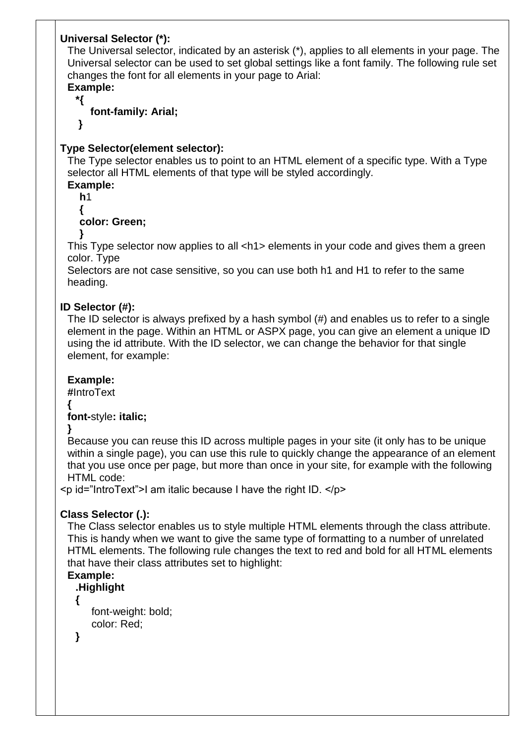# **Universal Selector (\*):**

The Universal selector, indicated by an asterisk (\*), applies to all elements in your page. The Universal selector can be used to set global settings like a font family. The following rule set changes the font for all elements in your page to Arial:

# **Example:**

**\*{** 

### **font-family: Arial;**

**}** 

# **Type Selector(element selector):**

The Type selector enables us to point to an HTML element of a specific type. With a Type selector all HTML elements of that type will be styled accordingly.

**Example:**

**h**1 **{** 

# **color: Green;**

**}** 

This Type selector now applies to all <h1> elements in your code and gives them a green color. Type

Selectors are not case sensitive, so you can use both h1 and H1 to refer to the same heading.

### **ID Selector (#):**

The ID selector is always prefixed by a hash symbol (#) and enables us to refer to a single element in the page. Within an HTML or ASPX page, you can give an element a unique ID using the id attribute. With the ID selector, we can change the behavior for that single element, for example:

### **Example:**

**#**IntroText

#### **{ font-**style**: italic;**

**}**

Because you can reuse this ID across multiple pages in your site (it only has to be unique within a single page), you can use this rule to quickly change the appearance of an element that you use once per page, but more than once in your site, for example with the following HTML code:

 $\leq$  id="IntroText">I am italic because I have the right ID.  $\leq$ /p>

### **Class Selector (.):**

The Class selector enables us to style multiple HTML elements through the class attribute. This is handy when we want to give the same type of formatting to a number of unrelated HTML elements. The following rule changes the text to red and bold for all HTML elements that have their class attributes set to highlight:

# **Example:**

**.Highlight {** 

font-weight: bold; color: Red;

**}**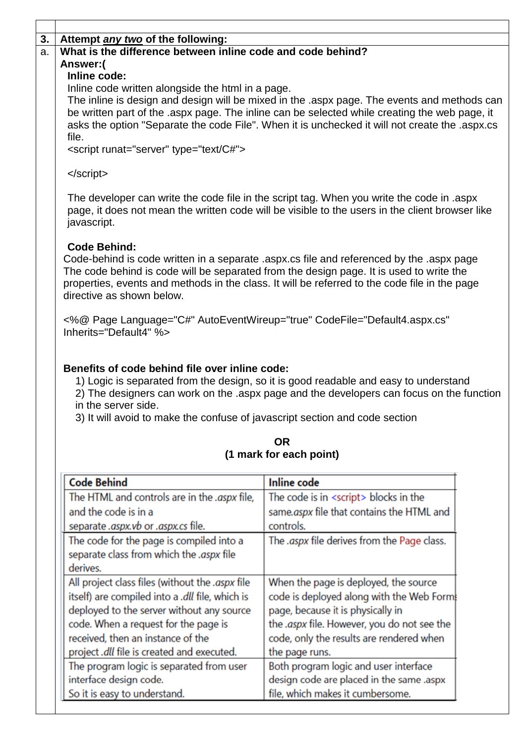| 3. | Attempt <i>any two</i> of the following:                                                                                |                                                                                                                                                                                                |  |
|----|-------------------------------------------------------------------------------------------------------------------------|------------------------------------------------------------------------------------------------------------------------------------------------------------------------------------------------|--|
| a. | What is the difference between inline code and code behind?                                                             |                                                                                                                                                                                                |  |
|    | Answer:(                                                                                                                |                                                                                                                                                                                                |  |
|    | Inline code:                                                                                                            |                                                                                                                                                                                                |  |
|    | Inline code written alongside the html in a page.                                                                       |                                                                                                                                                                                                |  |
|    |                                                                                                                         | The inline is design and design will be mixed in the aspx page. The events and methods can                                                                                                     |  |
|    |                                                                                                                         | be written part of the aspx page. The inline can be selected while creating the web page, it<br>asks the option "Separate the code File". When it is unchecked it will not create the .aspx.cs |  |
|    | file.                                                                                                                   |                                                                                                                                                                                                |  |
|    | <script runat="server" type="text/C#"></th><th></th></tr><tr><th></th><th></th><th></th></tr><tr><th></th><th></script> |                                                                                                                                                                                                |  |
|    |                                                                                                                         |                                                                                                                                                                                                |  |
|    |                                                                                                                         | The developer can write the code file in the script tag. When you write the code in aspx                                                                                                       |  |
|    |                                                                                                                         | page, it does not mean the written code will be visible to the users in the client browser like                                                                                                |  |
|    | javascript.                                                                                                             |                                                                                                                                                                                                |  |
|    |                                                                                                                         |                                                                                                                                                                                                |  |
|    | <b>Code Behind:</b>                                                                                                     | Code-behind is code written in a separate laspx.cs file and referenced by the laspx page                                                                                                       |  |
|    |                                                                                                                         | The code behind is code will be separated from the design page. It is used to write the                                                                                                        |  |
|    |                                                                                                                         | properties, events and methods in the class. It will be referred to the code file in the page                                                                                                  |  |
|    | directive as shown below.                                                                                               |                                                                                                                                                                                                |  |
|    |                                                                                                                         |                                                                                                                                                                                                |  |
|    | <%@ Page Language="C#" AutoEventWireup="true" CodeFile="Default4.aspx.cs"                                               |                                                                                                                                                                                                |  |
|    | Inherits="Default4" %>                                                                                                  |                                                                                                                                                                                                |  |
|    |                                                                                                                         |                                                                                                                                                                                                |  |
|    | in the server side.<br>3) It will avoid to make the confuse of javascript section and code section                      | 1) Logic is separated from the design, so it is good readable and easy to understand<br>2) The designers can work on the aspx page and the developers can focus on the function                |  |
|    |                                                                                                                         | <b>OR</b>                                                                                                                                                                                      |  |
|    |                                                                                                                         | (1 mark for each point)                                                                                                                                                                        |  |
|    |                                                                                                                         |                                                                                                                                                                                                |  |
|    | <b>Code Behind</b>                                                                                                      | <b>Inline</b> code                                                                                                                                                                             |  |
|    | The HTML and controls are in the .aspx file,                                                                            | The code is in <script></script>                                                                                                                                                               |  |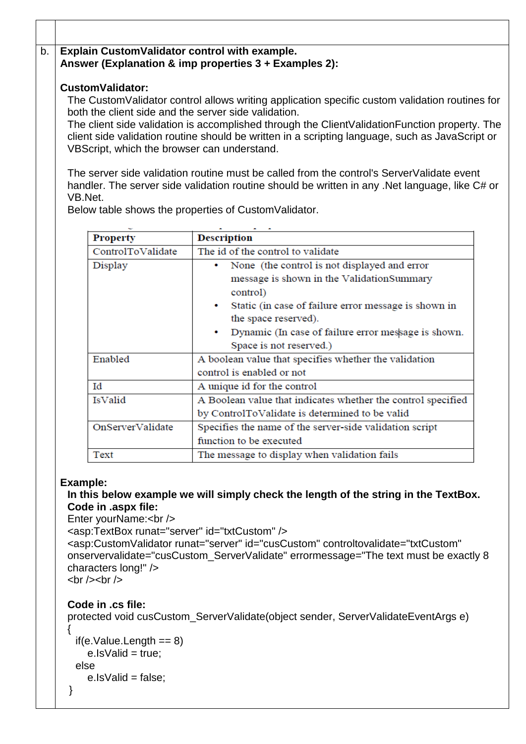# b. **Explain CustomValidator control with example. Answer (Explanation & imp properties 3 + Examples 2):**

### **CustomValidator:**

The CustomValidator control allows writing application specific custom validation routines for both the client side and the server side validation.

The client side validation is accomplished through the ClientValidationFunction property. The client side validation routine should be written in a scripting language, such as JavaScript or VBScript, which the browser can understand.

The server side validation routine must be called from the control's ServerValidate event handler. The server side validation routine should be written in any .Net language, like C# or VB.Net.

Below table shows the properties of CustomValidator.

| <b>Property</b>   | <b>Description</b>                                                |
|-------------------|-------------------------------------------------------------------|
| ControlToValidate | The id of the control to validate                                 |
| Display           | None (the control is not displayed and error                      |
|                   | message is shown in the ValidationSummary                         |
|                   | control)                                                          |
|                   | Static (in case of failure error message is shown in<br>$\bullet$ |
|                   | the space reserved).                                              |
|                   | Dynamic (In case of failure error message is shown.               |
|                   | Space is not reserved.)                                           |
| Enabled           | A boolean value that specifies whether the validation             |
|                   | control is enabled or not                                         |
| Id                | A unique id for the control                                       |
| IsValid           | A Boolean value that indicates whether the control specified      |
|                   | by ControlToValidate is determined to be valid                    |
| OnServerValidate  | Specifies the name of the server-side validation script           |
|                   | function to be executed                                           |
| Text              | The message to display when validation fails                      |

### **Example:**

### **In this below example we will simply check the length of the string in the TextBox. Code in .aspx file:**

Enter yourName:<br />

<asp:TextBox runat="server" id="txtCustom" />

```
<asp:CustomValidator runat="server" id="cusCustom" controltovalidate="txtCustom" 
onservervalidate="cusCustom_ServerValidate" errormessage="The text must be exactly 8 
characters long!" />
```
 $\frac{1}{2}$  <br/> /> <br/> />

# **Code in .cs file:**

```
protected void cusCustom_ServerValidate(object sender, ServerValidateEventArgs e) 
\{
```

```
if(e.Value.Length == 8)e. Is Valid = true:
else 
  e. Is Valid = false:
```
}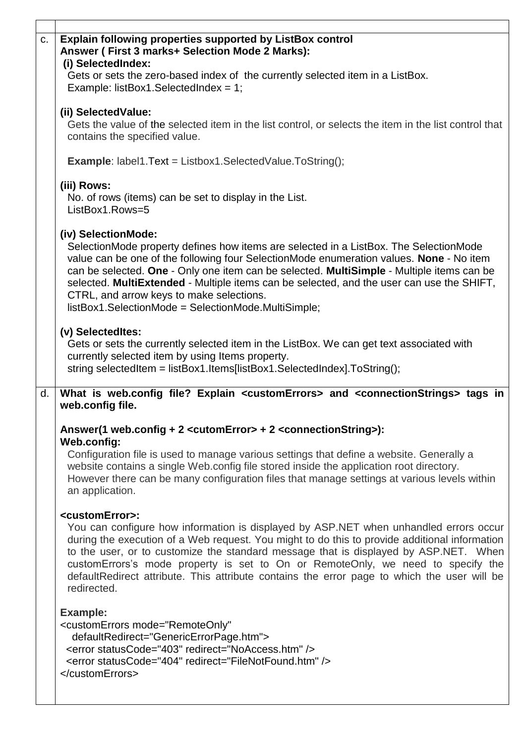| <b>Explain following properties supported by ListBox control</b><br>Answer (First 3 marks+ Selection Mode 2 Marks):<br>(i) SelectedIndex:                                                                                                                                                                                                                                                                                                                                                                             |
|-----------------------------------------------------------------------------------------------------------------------------------------------------------------------------------------------------------------------------------------------------------------------------------------------------------------------------------------------------------------------------------------------------------------------------------------------------------------------------------------------------------------------|
| Gets or sets the zero-based index of the currently selected item in a ListBox.<br>Example: listBox1.SelectedIndex = $1$ ;                                                                                                                                                                                                                                                                                                                                                                                             |
| (ii) SelectedValue:<br>Gets the value of the selected item in the list control, or selects the item in the list control that<br>contains the specified value.                                                                                                                                                                                                                                                                                                                                                         |
| <b>Example:</b> label1. Text = Listbox1. Selected Value. To String();                                                                                                                                                                                                                                                                                                                                                                                                                                                 |
| (iii) Rows:<br>No. of rows (items) can be set to display in the List.<br>ListBox1.Rows=5                                                                                                                                                                                                                                                                                                                                                                                                                              |
| (iv) SelectionMode:<br>SelectionMode property defines how items are selected in a ListBox. The SelectionMode<br>value can be one of the following four SelectionMode enumeration values. None - No item<br>can be selected. One - Only one item can be selected. MultiSimple - Multiple items can be<br>selected. MultiExtended - Multiple items can be selected, and the user can use the SHIFT,<br>CTRL, and arrow keys to make selections.<br>listBox1.SelectionMode = SelectionMode.MultiSimple;                  |
| (v) Selectedites:<br>Gets or sets the currently selected item in the ListBox. We can get text associated with<br>currently selected item by using Items property.<br>string selectedItem = listBox1.Items[listBox1.SelectedIndex].ToString();                                                                                                                                                                                                                                                                         |
| What is web.config file? Explain <customerrors> and <connectionstrings> tags in<br/>web.config file.</connectionstrings></customerrors>                                                                                                                                                                                                                                                                                                                                                                               |
| Answer(1 web.config + 2 <cutomerror> + 2 <connectionstring>):<br/>Web.config:</connectionstring></cutomerror>                                                                                                                                                                                                                                                                                                                                                                                                         |
| Configuration file is used to manage various settings that define a website. Generally a<br>website contains a single Web.config file stored inside the application root directory.<br>However there can be many configuration files that manage settings at various levels within<br>an application.                                                                                                                                                                                                                 |
| <customerror>:<br/>You can configure how information is displayed by ASP.NET when unhandled errors occur<br/>during the execution of a Web request. You might to do this to provide additional information<br/>to the user, or to customize the standard message that is displayed by ASP.NET. When<br/>customErrors's mode property is set to On or RemoteOnly, we need to specify the<br/>defaultRedirect attribute. This attribute contains the error page to which the user will be<br/>redirected.</customerror> |
| <b>Example:</b><br><customerrors <br="" mode="RemoteOnly">defaultRedirect="GenericErrorPage.htm"&gt;<br/><error redirect="NoAccess.htm" statuscode="403"></error><br/><error redirect="FileNotFound.htm" statuscode="404"></error><br/></customerrors>                                                                                                                                                                                                                                                                |
|                                                                                                                                                                                                                                                                                                                                                                                                                                                                                                                       |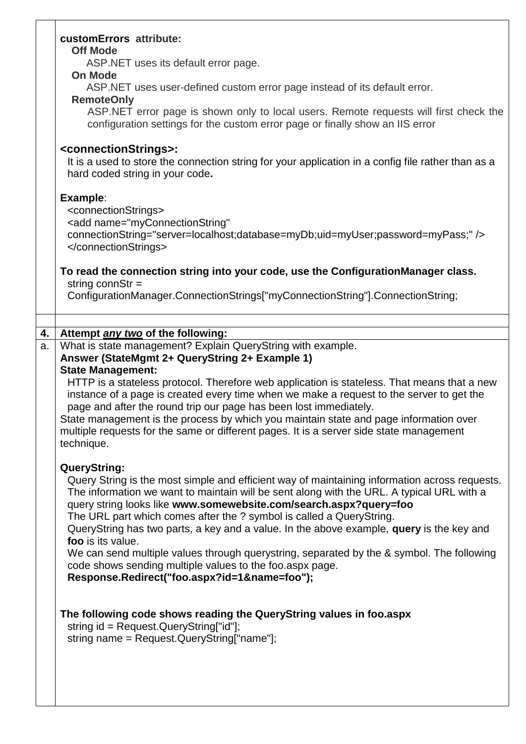|    | customErrors attribute:                                                                                                 |
|----|-------------------------------------------------------------------------------------------------------------------------|
|    | <b>Off Mode</b>                                                                                                         |
|    | ASP. NET uses its default error page.                                                                                   |
|    | <b>On Mode</b>                                                                                                          |
|    | ASP.NET uses user-defined custom error page instead of its default error.<br><b>RemoteOnly</b>                          |
|    | ASP.NET error page is shown only to local users. Remote requests will first check the                                   |
|    | configuration settings for the custom error page or finally show an IIS error                                           |
|    | <connectionstrings>:</connectionstrings>                                                                                |
|    | It is a used to store the connection string for your application in a config file rather than as a                      |
|    | hard coded string in your code.                                                                                         |
|    | Example:                                                                                                                |
|    | <connectionstrings></connectionstrings>                                                                                 |
|    | <add <="" name="myConnectionString" th=""></add>                                                                        |
|    | connectionString="server=localhost;database=myDb;uid=myUser;password=myPass;"/>                                         |
|    |                                                                                                                         |
|    |                                                                                                                         |
|    | To read the connection string into your code, use the ConfigurationManager class.<br>string conn $Str =$                |
|    | ConfigurationManager.ConnectionStrings["myConnectionString"].ConnectionString;                                          |
|    |                                                                                                                         |
|    |                                                                                                                         |
| 4. | Attempt any two of the following:                                                                                       |
| a. | What is state management? Explain QueryString with example.                                                             |
|    | Answer (StateMgmt 2+ QueryString 2+ Example 1)                                                                          |
|    | <b>State Management:</b><br>HTTP is a stateless protocol. Therefore web application is stateless. That means that a new |
|    | instance of a page is created every time when we make a request to the server to get the                                |
|    | page and after the round trip our page has been lost immediately.                                                       |
|    | State management is the process by which you maintain state and page information over                                   |
|    | multiple requests for the same or different pages. It is a server side state management                                 |
|    | technique.                                                                                                              |
|    |                                                                                                                         |
|    | <b>QueryString:</b><br>Query String is the most simple and efficient way of maintaining information across requests.    |
|    | The information we want to maintain will be sent along with the URL. A typical URL with a                               |
|    | query string looks like www.somewebsite.com/search.aspx?query=foo                                                       |
|    | The URL part which comes after the ? symbol is called a QueryString.                                                    |
|    | QueryString has two parts, a key and a value. In the above example, query is the key and                                |
|    | foo is its value.                                                                                                       |
|    | We can send multiple values through querystring, separated by the & symbol. The following                               |
|    | code shows sending multiple values to the foo.aspx page.                                                                |
|    | Response.Redirect("foo.aspx?id=1&name=foo");                                                                            |
|    |                                                                                                                         |
|    | The following code shows reading the QueryString values in foo.aspx                                                     |
|    | string id = Request.QueryString["id"];                                                                                  |
|    | string name = Request.QueryString["name"];                                                                              |
|    |                                                                                                                         |
|    |                                                                                                                         |
|    |                                                                                                                         |
|    |                                                                                                                         |

 $\overline{\phantom{a}}$ 

 $\mathsf{l}$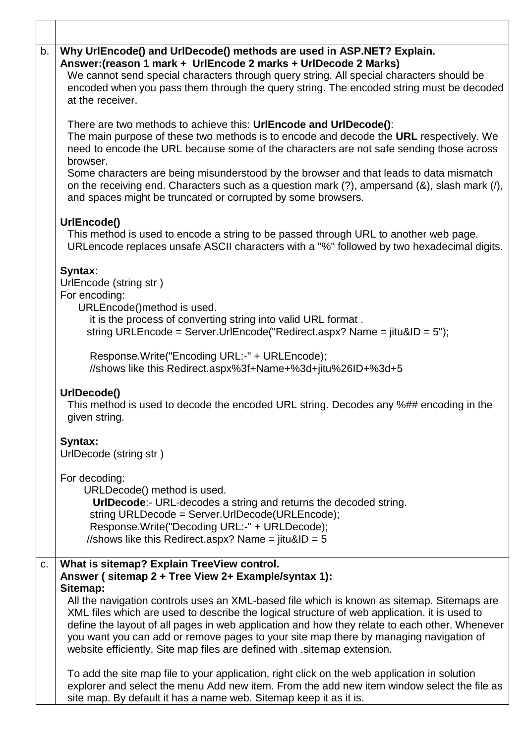| b. | Why UrlEncode() and UrlDecode() methods are used in ASP.NET? Explain.<br>Answer: (reason 1 mark + UrlEncode 2 marks + UrlDecode 2 Marks)<br>We cannot send special characters through query string. All special characters should be<br>encoded when you pass them through the query string. The encoded string must be decoded<br>at the receiver.                                                                                                                         |
|----|-----------------------------------------------------------------------------------------------------------------------------------------------------------------------------------------------------------------------------------------------------------------------------------------------------------------------------------------------------------------------------------------------------------------------------------------------------------------------------|
|    | There are two methods to achieve this: UrlEncode and UrlDecode():<br>The main purpose of these two methods is to encode and decode the URL respectively. We<br>need to encode the URL because some of the characters are not safe sending those across<br>browser.                                                                                                                                                                                                          |
|    | Some characters are being misunderstood by the browser and that leads to data mismatch<br>on the receiving end. Characters such as a question mark (?), ampersand (&), slash mark (/),<br>and spaces might be truncated or corrupted by some browsers.                                                                                                                                                                                                                      |
|    | UrlEncode()<br>This method is used to encode a string to be passed through URL to another web page.<br>URLencode replaces unsafe ASCII characters with a "%" followed by two hexadecimal digits.                                                                                                                                                                                                                                                                            |
|    | Syntax:<br>UrlEncode (string str)<br>For encoding:                                                                                                                                                                                                                                                                                                                                                                                                                          |
|    | URLEncode()method is used.<br>it is the process of converting string into valid URL format.<br>string URLEncode = Server.UrlEncode("Redirect.aspx? Name = jitu&ID = 5");                                                                                                                                                                                                                                                                                                    |
|    | Response.Write("Encoding URL:-" + URLEncode);<br>//shows like this Redirect.aspx%3f+Name+%3d+jitu%26ID+%3d+5                                                                                                                                                                                                                                                                                                                                                                |
|    | UrlDecode()<br>This method is used to decode the encoded URL string. Decodes any %## encoding in the<br>given string.                                                                                                                                                                                                                                                                                                                                                       |
|    | Syntax:<br>UrlDecode (string str)                                                                                                                                                                                                                                                                                                                                                                                                                                           |
|    | For decoding:                                                                                                                                                                                                                                                                                                                                                                                                                                                               |
|    | URLDecode() method is used.<br><b>UrIDecode:-</b> URL-decodes a string and returns the decoded string.                                                                                                                                                                                                                                                                                                                                                                      |
|    | string URLDecode = Server.UrlDecode(URLEncode);<br>Response.Write("Decoding URL:-" + URLDecode);<br>//shows like this Redirect.aspx? Name = $jitu&ID = 5$                                                                                                                                                                                                                                                                                                                   |
| C. | What is sitemap? Explain TreeView control.<br>Answer (sitemap 2 + Tree View 2+ Example/syntax 1):                                                                                                                                                                                                                                                                                                                                                                           |
|    | Sitemap:<br>All the navigation controls uses an XML-based file which is known as sitemap. Sitemaps are<br>XML files which are used to describe the logical structure of web application. it is used to<br>define the layout of all pages in web application and how they relate to each other. Whenever<br>you want you can add or remove pages to your site map there by managing navigation of<br>website efficiently. Site map files are defined with sitemap extension. |
|    | To add the site map file to your application, right click on the web application in solution<br>explorer and select the menu Add new item. From the add new item window select the file as<br>site map. By default it has a name web. Sitemap keep it as it is.                                                                                                                                                                                                             |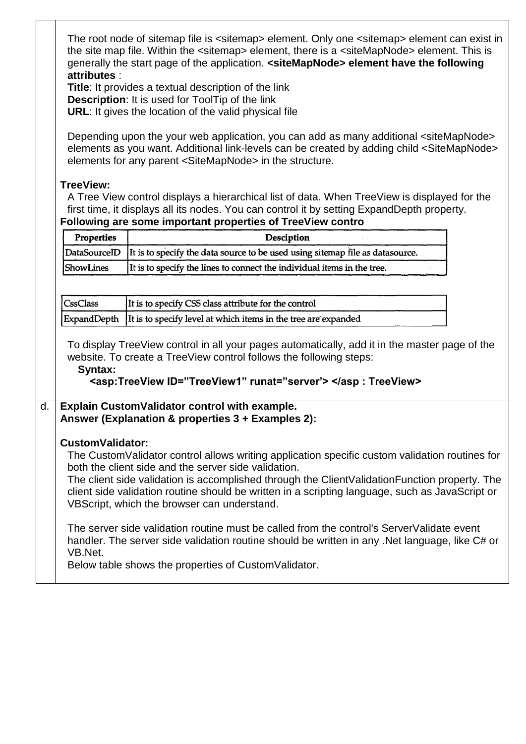|    | The root node of sitemap file is <sitemap> element. Only one <sitemap> element can exist in<br/>the site map file. Within the <sitemap> element, there is a <sitemapnode> element. This is<br/>generally the start page of the application. <sitemapnode> element have the following<br/>attributes:<br/>Title: It provides a textual description of the link<br/><b>Description:</b> It is used for ToolTip of the link<br/>URL: It gives the location of the valid physical file<br/>Depending upon the your web application, you can add as many additional <sitemapnode><br/>elements as you want. Additional link-levels can be created by adding child <sitemapnode><br/>elements for any parent <sitemapnode> in the structure.</sitemapnode></sitemapnode></sitemapnode></sitemapnode></sitemapnode></sitemap></sitemap></sitemap> |                                                                                                                                                                                                                                                          |  |
|----|--------------------------------------------------------------------------------------------------------------------------------------------------------------------------------------------------------------------------------------------------------------------------------------------------------------------------------------------------------------------------------------------------------------------------------------------------------------------------------------------------------------------------------------------------------------------------------------------------------------------------------------------------------------------------------------------------------------------------------------------------------------------------------------------------------------------------------------------|----------------------------------------------------------------------------------------------------------------------------------------------------------------------------------------------------------------------------------------------------------|--|
|    | <b>TreeView:</b>                                                                                                                                                                                                                                                                                                                                                                                                                                                                                                                                                                                                                                                                                                                                                                                                                           | A Tree View control displays a hierarchical list of data. When TreeView is displayed for the<br>first time, it displays all its nodes. You can control it by setting ExpandDepth property.<br>Following are some important properties of TreeView contro |  |
|    | Properties                                                                                                                                                                                                                                                                                                                                                                                                                                                                                                                                                                                                                                                                                                                                                                                                                                 | Desciption                                                                                                                                                                                                                                               |  |
|    | DataSourceID                                                                                                                                                                                                                                                                                                                                                                                                                                                                                                                                                                                                                                                                                                                                                                                                                               | It is to specify the data source to be used using sitemap file as datasource.                                                                                                                                                                            |  |
|    | ShowLines                                                                                                                                                                                                                                                                                                                                                                                                                                                                                                                                                                                                                                                                                                                                                                                                                                  | It is to specify the lines to connect the individual items in the tree.                                                                                                                                                                                  |  |
|    |                                                                                                                                                                                                                                                                                                                                                                                                                                                                                                                                                                                                                                                                                                                                                                                                                                            |                                                                                                                                                                                                                                                          |  |
|    | <b>CssClass</b>                                                                                                                                                                                                                                                                                                                                                                                                                                                                                                                                                                                                                                                                                                                                                                                                                            | It is to specify CSS class attribute for the control                                                                                                                                                                                                     |  |
|    | ExpandDepth                                                                                                                                                                                                                                                                                                                                                                                                                                                                                                                                                                                                                                                                                                                                                                                                                                | It is to specify level at which items in the tree are expanded                                                                                                                                                                                           |  |
|    | To display TreeView control in all your pages automatically, add it in the master page of the<br>website. To create a TreeView control follows the following steps:<br>Syntax:<br><asp:TreeView ID="TreeView1" runat="server'>                                                                                                                                                                                                                                                                                                                                                                                                                                                                                                                                                                                                             |                                                                                                                                                                                                                                                          |  |
| d. |                                                                                                                                                                                                                                                                                                                                                                                                                                                                                                                                                                                                                                                                                                                                                                                                                                            | Explain CustomValidator control with example.<br>Answer (Explanation & properties 3 + Examples 2):                                                                                                                                                       |  |
|    | <b>CustomValidator:</b><br>The CustomValidator control allows writing application specific custom validation routines for<br>both the client side and the server side validation.<br>The client side validation is accomplished through the Client Validation Function property. The<br>client side validation routine should be written in a scripting language, such as JavaScript or<br>VBScript, which the browser can understand.<br>The server side validation routine must be called from the control's ServerValidate event<br>handler. The server side validation routine should be written in any .Net language, like C# or<br>VB.Net.<br>Below table shows the properties of Custom Validator.                                                                                                                                  |                                                                                                                                                                                                                                                          |  |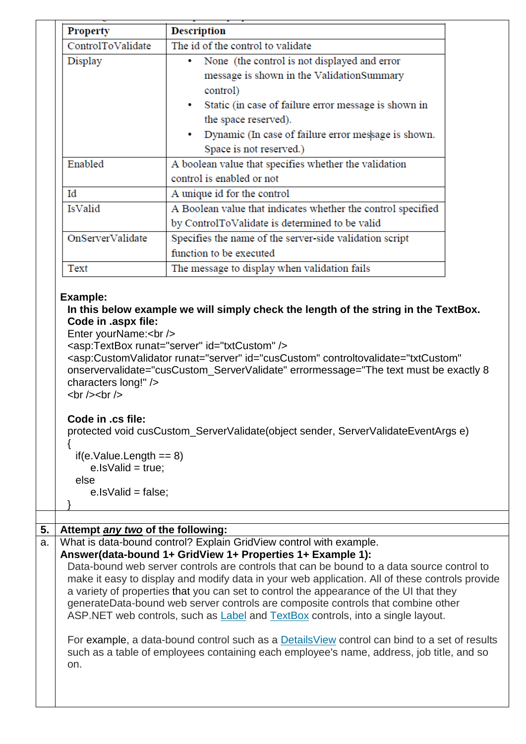| <b>Property</b>                                                                                                 | <b>Description</b>                                                                                                                                                                                                                                                                                                                                     |
|-----------------------------------------------------------------------------------------------------------------|--------------------------------------------------------------------------------------------------------------------------------------------------------------------------------------------------------------------------------------------------------------------------------------------------------------------------------------------------------|
| ControlToValidate                                                                                               | The id of the control to validate                                                                                                                                                                                                                                                                                                                      |
| Display                                                                                                         | • None (the control is not displayed and error                                                                                                                                                                                                                                                                                                         |
|                                                                                                                 | message is shown in the ValidationSummary                                                                                                                                                                                                                                                                                                              |
|                                                                                                                 | control)                                                                                                                                                                                                                                                                                                                                               |
|                                                                                                                 | Static (in case of failure error message is shown in<br>٠                                                                                                                                                                                                                                                                                              |
|                                                                                                                 | the space reserved).                                                                                                                                                                                                                                                                                                                                   |
|                                                                                                                 | Dynamic (In case of failure error message is shown.<br>٠                                                                                                                                                                                                                                                                                               |
|                                                                                                                 | Space is not reserved.)                                                                                                                                                                                                                                                                                                                                |
| Enabled                                                                                                         | A boolean value that specifies whether the validation                                                                                                                                                                                                                                                                                                  |
|                                                                                                                 | control is enabled or not                                                                                                                                                                                                                                                                                                                              |
| Id                                                                                                              | A unique id for the control                                                                                                                                                                                                                                                                                                                            |
| IsValid                                                                                                         | A Boolean value that indicates whether the control specified                                                                                                                                                                                                                                                                                           |
|                                                                                                                 | by ControlToValidate is determined to be valid                                                                                                                                                                                                                                                                                                         |
| OnServerValidate                                                                                                | Specifies the name of the server-side validation script                                                                                                                                                                                                                                                                                                |
|                                                                                                                 | function to be executed                                                                                                                                                                                                                                                                                                                                |
| Text                                                                                                            | The message to display when validation fails                                                                                                                                                                                                                                                                                                           |
| Example:<br>Code in .aspx file:<br>Enter yourName:<br><br>characters long!" /><br>$\text{br}$ /> $\text{br}$ /> | In this below example we will simply check the length of the string in the TextBox.<br><asp:textbox id="txtCustom" runat="server"></asp:textbox><br><asp:customvalidator <br="" controltovalidate="txtCustom" id="cusCustom" runat="server">onservervalidate="cusCustom_ServerValidate" errormessage="The text must be exactly 8</asp:customvalidator> |
| Code in .cs file:<br>$if(e.Value.Length == 8)$<br>$e.ls$ Valid = true;<br>else<br>$e.ls$ Valid = false;         | protected void cusCustom_ServerValidate(object sender, ServerValidateEventArgs e)                                                                                                                                                                                                                                                                      |
|                                                                                                                 |                                                                                                                                                                                                                                                                                                                                                        |
| Attempt any two of the following:                                                                               | What is data-bound control? Explain GridView control with example.                                                                                                                                                                                                                                                                                     |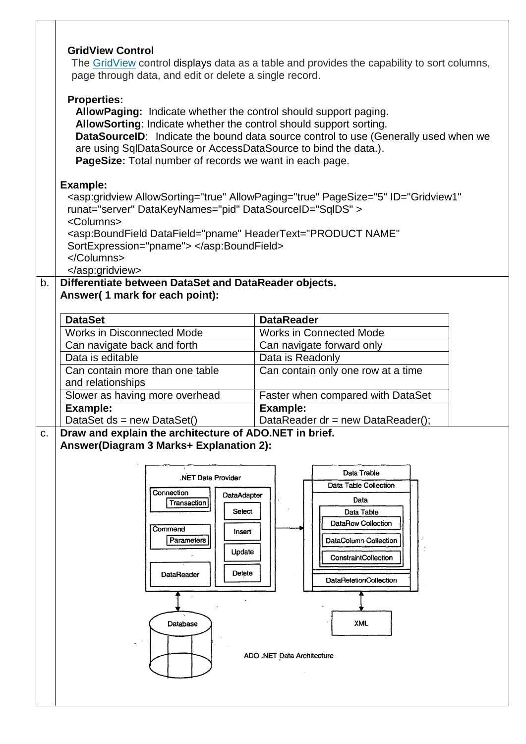|    | <b>GridView Control</b><br>page through data, and edit or delete a single record.<br><b>Properties:</b><br>AllowPaging: Indicate whether the control should support paging.<br>AllowSorting: Indicate whether the control should support sorting.<br>are using SqlDataSource or AccessDataSource to bind the data.).<br>PageSize: Total number of records we want in each page. | The GridView control displays data as a table and provides the capability to sort columns,<br>DataSourceID: Indicate the bound data source control to use (Generally used when we                       |
|----|---------------------------------------------------------------------------------------------------------------------------------------------------------------------------------------------------------------------------------------------------------------------------------------------------------------------------------------------------------------------------------|---------------------------------------------------------------------------------------------------------------------------------------------------------------------------------------------------------|
|    | <b>Example:</b><br>runat="server" DataKeyNames="pid" DataSourceID="SqIDS" ><br><columns><br/><asp:boundfield <br="" datafield="pname" headertext="PRODUCT NAME">SortExpression="pname"&gt; </asp:boundfield><br/></columns><br>                                                                                                                                                 | <asp:gridview <="" allowpaging="true" allowsorting="true" id="Gridview1" pagesize="5" th=""></asp:gridview>                                                                                             |
| b. | Differentiate between DataSet and DataReader objects.                                                                                                                                                                                                                                                                                                                           |                                                                                                                                                                                                         |
|    | Answer(1 mark for each point):                                                                                                                                                                                                                                                                                                                                                  |                                                                                                                                                                                                         |
|    |                                                                                                                                                                                                                                                                                                                                                                                 |                                                                                                                                                                                                         |
|    | <b>DataSet</b><br><b>Works in Disconnected Mode</b>                                                                                                                                                                                                                                                                                                                             | <b>DataReader</b><br><b>Works in Connected Mode</b>                                                                                                                                                     |
|    |                                                                                                                                                                                                                                                                                                                                                                                 |                                                                                                                                                                                                         |
|    | Can navigate back and forth<br>Data is editable                                                                                                                                                                                                                                                                                                                                 | Can navigate forward only                                                                                                                                                                               |
|    |                                                                                                                                                                                                                                                                                                                                                                                 | Data is Readonly                                                                                                                                                                                        |
|    | Can contain more than one table                                                                                                                                                                                                                                                                                                                                                 | Can contain only one row at a time                                                                                                                                                                      |
|    | and relationships                                                                                                                                                                                                                                                                                                                                                               |                                                                                                                                                                                                         |
|    | Slower as having more overhead                                                                                                                                                                                                                                                                                                                                                  | Faster when compared with DataSet                                                                                                                                                                       |
|    | <b>Example:</b>                                                                                                                                                                                                                                                                                                                                                                 | Example:                                                                                                                                                                                                |
|    | DataSet $ds$ = new DataSet()                                                                                                                                                                                                                                                                                                                                                    | DataReader $dr = new DataFrame$ DataReader();                                                                                                                                                           |
| C. | Draw and explain the architecture of ADO.NET in brief.<br>Answer(Diagram 3 Marks+ Explanation 2):<br>.NET Data Provider<br>Connection<br>DataAdapter<br>Transaction<br>Select<br>Commend<br>insert<br>Parameters<br>Update<br>Delete<br>DataReader<br>Database                                                                                                                  | Data Trable<br>Data Table Collection<br>Data<br>Data Table<br>DataRow Collection<br>DataColumn Collection<br>ConstraintCollection<br><b>DataReletionCollection</b><br>XML<br>ADO .NET Data Architecture |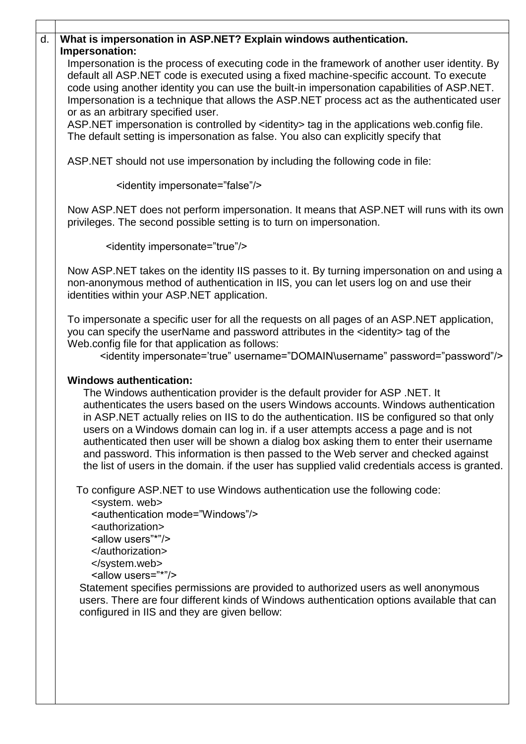| d. | What is impersonation in ASP.NET? Explain windows authentication.                                                                                                                                                                                                                                                                                                                                                                                                                                                                                                                                                                                                           |
|----|-----------------------------------------------------------------------------------------------------------------------------------------------------------------------------------------------------------------------------------------------------------------------------------------------------------------------------------------------------------------------------------------------------------------------------------------------------------------------------------------------------------------------------------------------------------------------------------------------------------------------------------------------------------------------------|
|    | Impersonation:                                                                                                                                                                                                                                                                                                                                                                                                                                                                                                                                                                                                                                                              |
|    | Impersonation is the process of executing code in the framework of another user identity. By<br>default all ASP.NET code is executed using a fixed machine-specific account. To execute<br>code using another identity you can use the built-in impersonation capabilities of ASP.NET.<br>Impersonation is a technique that allows the ASP.NET process act as the authenticated user                                                                                                                                                                                                                                                                                        |
|    | or as an arbitrary specified user.                                                                                                                                                                                                                                                                                                                                                                                                                                                                                                                                                                                                                                          |
|    | ASP.NET impersonation is controlled by <identity> tag in the applications web.config file.<br/>The default setting is impersonation as false. You also can explicitly specify that</identity>                                                                                                                                                                                                                                                                                                                                                                                                                                                                               |
|    | ASP.NET should not use impersonation by including the following code in file:                                                                                                                                                                                                                                                                                                                                                                                                                                                                                                                                                                                               |
|    | <identity impersonate="false"></identity>                                                                                                                                                                                                                                                                                                                                                                                                                                                                                                                                                                                                                                   |
|    | Now ASP.NET does not perform impersonation. It means that ASP.NET will runs with its own<br>privileges. The second possible setting is to turn on impersonation.                                                                                                                                                                                                                                                                                                                                                                                                                                                                                                            |
|    | <identity impersonate="true"></identity>                                                                                                                                                                                                                                                                                                                                                                                                                                                                                                                                                                                                                                    |
|    | Now ASP.NET takes on the identity IIS passes to it. By turning impersonation on and using a<br>non-anonymous method of authentication in IIS, you can let users log on and use their<br>identities within your ASP.NET application.                                                                                                                                                                                                                                                                                                                                                                                                                                         |
|    | To impersonate a specific user for all the requests on all pages of an ASP.NET application,<br>you can specify the userName and password attributes in the <identity> tag of the<br/>Web.config file for that application as follows:<br/>&lt;identity impersonate='true" username="DOMAIN\username" password="password"/&gt;</identity>                                                                                                                                                                                                                                                                                                                                    |
|    | <b>Windows authentication:</b><br>The Windows authentication provider is the default provider for ASP. NET. It<br>authenticates the users based on the users Windows accounts. Windows authentication<br>in ASP.NET actually relies on IIS to do the authentication. IIS be configured so that only<br>users on a Windows domain can log in. if a user attempts access a page and is not<br>authenticated then user will be shown a dialog box asking them to enter their username<br>and password. This information is then passed to the Web server and checked against<br>the list of users in the domain. if the user has supplied valid credentials access is granted. |
|    | To configure ASP.NET to use Windows authentication use the following code:<br><system. web=""><br/><authentication mode="Windows"></authentication><br/><authorization><br/><allow users"*"=""></allow><br/></authorization><br/><br/><allow users="*"></allow><br/>Statement specifies permissions are provided to authorized users as well anonymous<br/>users. There are four different kinds of Windows authentication options available that can<br/>configured in IIS and they are given bellow:</system.>                                                                                                                                                            |
|    |                                                                                                                                                                                                                                                                                                                                                                                                                                                                                                                                                                                                                                                                             |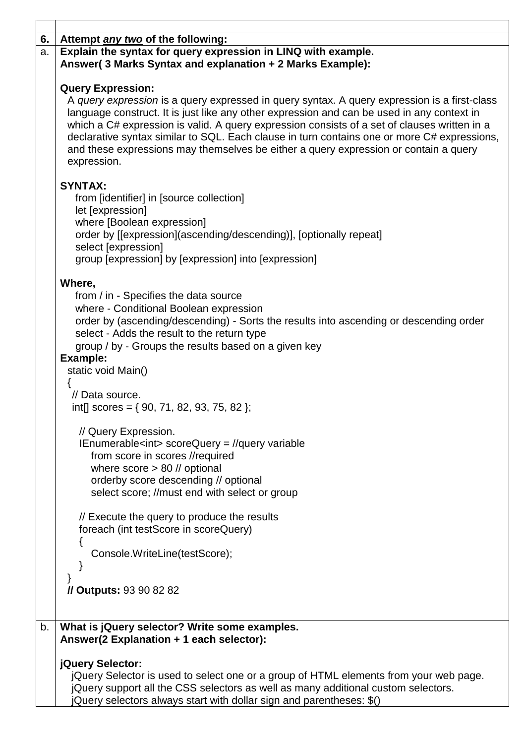| 6. | Attempt <i>any two</i> of the following:                                                                                                                                                                                                                                                                                                                                                                                                                                                                                     |
|----|------------------------------------------------------------------------------------------------------------------------------------------------------------------------------------------------------------------------------------------------------------------------------------------------------------------------------------------------------------------------------------------------------------------------------------------------------------------------------------------------------------------------------|
| a. | Explain the syntax for query expression in LINQ with example.<br>Answer(3 Marks Syntax and explanation + 2 Marks Example):                                                                                                                                                                                                                                                                                                                                                                                                   |
|    | <b>Query Expression:</b><br>A query expression is a query expressed in query syntax. A query expression is a first-class<br>language construct. It is just like any other expression and can be used in any context in<br>which a C# expression is valid. A query expression consists of a set of clauses written in a<br>declarative syntax similar to SQL. Each clause in turn contains one or more C# expressions,<br>and these expressions may themselves be either a query expression or contain a query<br>expression. |
|    | <b>SYNTAX:</b><br>from [identifier] in [source collection]<br>let [expression]<br>where [Boolean expression]<br>order by [[expression](ascending/descending)], [optionally repeat]<br>select [expression]                                                                                                                                                                                                                                                                                                                    |
|    | group [expression] by [expression] into [expression]                                                                                                                                                                                                                                                                                                                                                                                                                                                                         |
|    | Where,<br>from / in - Specifies the data source<br>where - Conditional Boolean expression<br>order by (ascending/descending) - Sorts the results into ascending or descending order<br>select - Adds the result to the return type<br>group / by - Groups the results based on a given key<br>Example:<br>static void Main()                                                                                                                                                                                                 |
|    | // Data source.<br>int[] scores = $\{90, 71, 82, 93, 75, 82\}$ ;                                                                                                                                                                                                                                                                                                                                                                                                                                                             |
|    | // Query Expression.<br>$IEnumerable < int>scoreQuery = //query variable$<br>from score in scores //required<br>where $score > 80$ // optional<br>orderby score descending // optional<br>select score; //must end with select or group                                                                                                                                                                                                                                                                                      |
|    | // Execute the query to produce the results<br>foreach (int testScore in scoreQuery)                                                                                                                                                                                                                                                                                                                                                                                                                                         |
|    | Console.WriteLine(testScore);                                                                                                                                                                                                                                                                                                                                                                                                                                                                                                |
|    | // Outputs: 93 90 82 82                                                                                                                                                                                                                                                                                                                                                                                                                                                                                                      |
| b. | What is jQuery selector? Write some examples.<br>Answer(2 Explanation + 1 each selector):                                                                                                                                                                                                                                                                                                                                                                                                                                    |
|    | jQuery Selector:<br>jQuery Selector is used to select one or a group of HTML elements from your web page.<br>jQuery support all the CSS selectors as well as many additional custom selectors.<br>Query selectors always start with dollar sign and parentheses: \$()                                                                                                                                                                                                                                                        |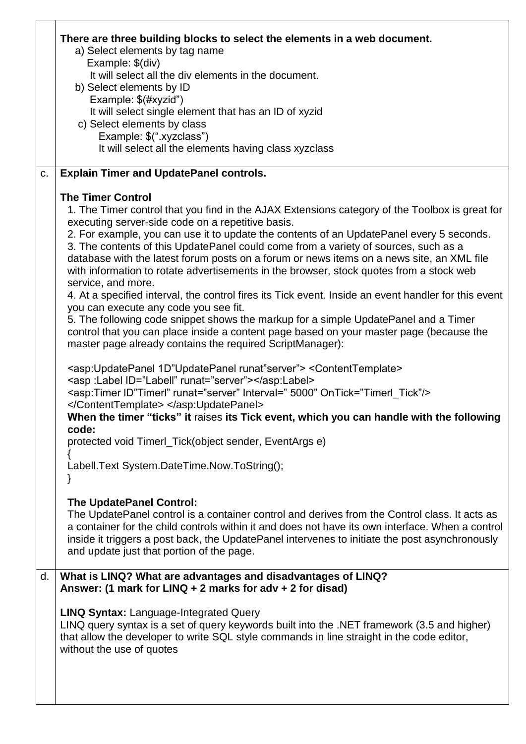|    | There are three building blocks to select the elements in a web document.<br>a) Select elements by tag name<br>Example: \$(div)                                                                                                                                                                                                                  |
|----|--------------------------------------------------------------------------------------------------------------------------------------------------------------------------------------------------------------------------------------------------------------------------------------------------------------------------------------------------|
|    | It will select all the div elements in the document.<br>b) Select elements by ID                                                                                                                                                                                                                                                                 |
|    | Example: \$(#xyzid")                                                                                                                                                                                                                                                                                                                             |
|    | It will select single element that has an ID of xyzid                                                                                                                                                                                                                                                                                            |
|    | c) Select elements by class                                                                                                                                                                                                                                                                                                                      |
|    | Example: \$(".xyzclass")                                                                                                                                                                                                                                                                                                                         |
|    | It will select all the elements having class xyzclass                                                                                                                                                                                                                                                                                            |
| C. | <b>Explain Timer and UpdatePanel controls.</b>                                                                                                                                                                                                                                                                                                   |
|    | <b>The Timer Control</b>                                                                                                                                                                                                                                                                                                                         |
|    | 1. The Timer control that you find in the AJAX Extensions category of the Toolbox is great for<br>executing server-side code on a repetitive basis.                                                                                                                                                                                              |
|    | 2. For example, you can use it to update the contents of an UpdatePanel every 5 seconds.<br>3. The contents of this UpdatePanel could come from a variety of sources, such as a<br>database with the latest forum posts on a forum or news items on a news site, an XML file                                                                     |
|    | with information to rotate advertisements in the browser, stock quotes from a stock web<br>service, and more.                                                                                                                                                                                                                                    |
|    | 4. At a specified interval, the control fires its Tick event. Inside an event handler for this event                                                                                                                                                                                                                                             |
|    | you can execute any code you see fit.<br>5. The following code snippet shows the markup for a simple UpdatePanel and a Timer                                                                                                                                                                                                                     |
|    | control that you can place inside a content page based on your master page (because the<br>master page already contains the required ScriptManager):                                                                                                                                                                                             |
|    | <asp:updatepanel 1d"updatepanel="" runat"server"=""> <contenttemplate><br/><asp :label="" id="Labell" runat="server"><br/><asp:timer id"timerl"="" interval=" 5000" ontick="Timerl_Tick" runat="server"></asp:timer></asp></contenttemplate></asp:updatepanel>                                                                                   |
|    | <br>When the timer "ticks" it raises its Tick event, which you can handle with the following<br>code:                                                                                                                                                                                                                                            |
|    | protected void Timerl_Tick(object sender, EventArgs e)                                                                                                                                                                                                                                                                                           |
|    | Labell. Text System. Date Time. Now. To String();                                                                                                                                                                                                                                                                                                |
|    |                                                                                                                                                                                                                                                                                                                                                  |
|    | <b>The UpdatePanel Control:</b>                                                                                                                                                                                                                                                                                                                  |
|    | The UpdatePanel control is a container control and derives from the Control class. It acts as<br>a container for the child controls within it and does not have its own interface. When a control<br>inside it triggers a post back, the UpdatePanel intervenes to initiate the post asynchronously<br>and update just that portion of the page. |
| d. | What is LINQ? What are advantages and disadvantages of LINQ?                                                                                                                                                                                                                                                                                     |
|    | Answer: (1 mark for $LINO + 2$ marks for adv + 2 for disad)                                                                                                                                                                                                                                                                                      |
|    | <b>LINQ Syntax: Language-Integrated Query</b>                                                                                                                                                                                                                                                                                                    |
|    | LINQ query syntax is a set of query keywords built into the .NET framework (3.5 and higher)<br>that allow the developer to write SQL style commands in line straight in the code editor,<br>without the use of quotes                                                                                                                            |
|    |                                                                                                                                                                                                                                                                                                                                                  |
|    |                                                                                                                                                                                                                                                                                                                                                  |
|    |                                                                                                                                                                                                                                                                                                                                                  |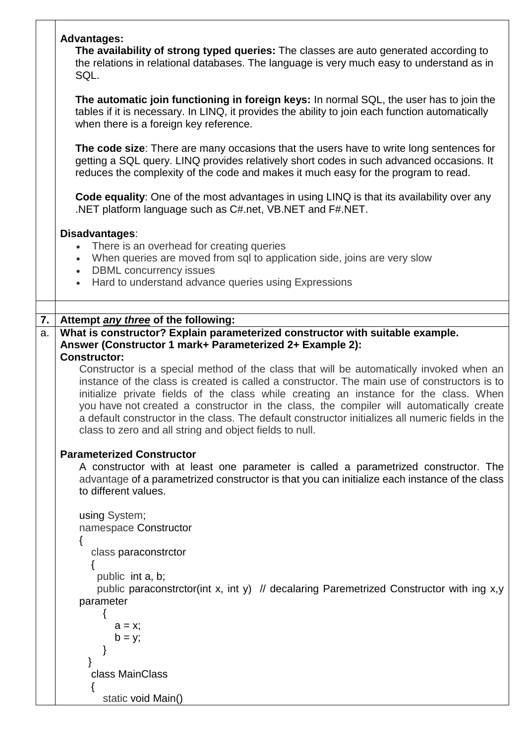|    | <b>Advantages:</b><br>The availability of strong typed queries: The classes are auto generated according to<br>the relations in relational databases. The language is very much easy to understand as in<br>SQL.<br>The automatic join functioning in foreign keys: In normal SQL, the user has to join the<br>tables if it is necessary. In LINQ, it provides the ability to join each function automatically                                                                                                                                                                                                                                       |
|----|------------------------------------------------------------------------------------------------------------------------------------------------------------------------------------------------------------------------------------------------------------------------------------------------------------------------------------------------------------------------------------------------------------------------------------------------------------------------------------------------------------------------------------------------------------------------------------------------------------------------------------------------------|
|    | when there is a foreign key reference.<br>The code size: There are many occasions that the users have to write long sentences for<br>getting a SQL query. LINQ provides relatively short codes in such advanced occasions. It<br>reduces the complexity of the code and makes it much easy for the program to read.                                                                                                                                                                                                                                                                                                                                  |
|    | Code equality: One of the most advantages in using LINQ is that its availability over any<br>.NET platform language such as C#.net, VB.NET and F#.NET.                                                                                                                                                                                                                                                                                                                                                                                                                                                                                               |
|    | Disadvantages:<br>There is an overhead for creating queries<br>When queries are moved from sql to application side, joins are very slow<br>$\bullet$<br><b>DBML</b> concurrency issues<br>$\bullet$<br>Hard to understand advance queries using Expressions<br>$\bullet$                                                                                                                                                                                                                                                                                                                                                                             |
| 7. | Attempt any three of the following:                                                                                                                                                                                                                                                                                                                                                                                                                                                                                                                                                                                                                  |
| a. | What is constructor? Explain parameterized constructor with suitable example.<br>Answer (Constructor 1 mark+ Parameterized 2+ Example 2):<br><b>Constructor:</b><br>Constructor is a special method of the class that will be automatically invoked when an<br>instance of the class is created is called a constructor. The main use of constructors is to<br>initialize private fields of the class while creating an instance for the class. When<br>you have not created a constructor in the class, the compiler will automatically create<br>a default constructor in the class. The default constructor initializes all numeric fields in the |
|    | class to zero and all string and object fields to null.<br><b>Parameterized Constructor</b><br>A constructor with at least one parameter is called a parametrized constructor. The<br>advantage of a parametrized constructor is that you can initialize each instance of the class<br>to different values.                                                                                                                                                                                                                                                                                                                                          |
|    | using System;<br>namespace Constructor<br>{                                                                                                                                                                                                                                                                                                                                                                                                                                                                                                                                                                                                          |
|    | class paraconstrctor<br>public int a, b;<br>public paraconstrctor(int x, int y) // decalaring Paremetrized Constructor with ing x,y<br>parameter                                                                                                                                                                                                                                                                                                                                                                                                                                                                                                     |
|    | $a = x;$<br>$b = y;$                                                                                                                                                                                                                                                                                                                                                                                                                                                                                                                                                                                                                                 |
|    | class MainClass                                                                                                                                                                                                                                                                                                                                                                                                                                                                                                                                                                                                                                      |
|    | static void Main()                                                                                                                                                                                                                                                                                                                                                                                                                                                                                                                                                                                                                                   |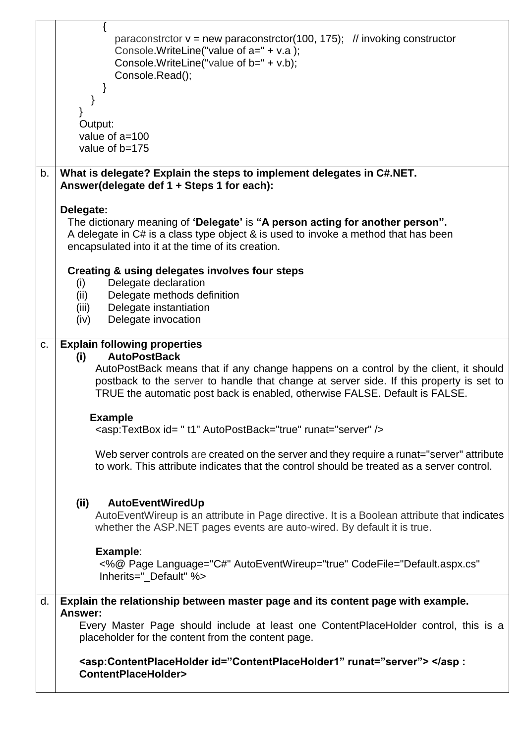|    | paraconstrctor $v = new$ paraconstrctor(100, 175); // invoking constructor<br>Console.WriteLine("value of a=" + v.a);                                                                                                                                         |
|----|---------------------------------------------------------------------------------------------------------------------------------------------------------------------------------------------------------------------------------------------------------------|
|    | Console. Write Line ("value of $b = " + v.b);$<br>Console.Read();                                                                                                                                                                                             |
|    |                                                                                                                                                                                                                                                               |
|    | Output:                                                                                                                                                                                                                                                       |
|    | value of $a=100$<br>value of b=175                                                                                                                                                                                                                            |
|    |                                                                                                                                                                                                                                                               |
| b. | What is delegate? Explain the steps to implement delegates in C#.NET.<br>Answer(delegate def 1 + Steps 1 for each):                                                                                                                                           |
|    | Delegate:<br>The dictionary meaning of 'Delegate' is "A person acting for another person".                                                                                                                                                                    |
|    | A delegate in C# is a class type object & is used to invoke a method that has been<br>encapsulated into it at the time of its creation.                                                                                                                       |
|    | <b>Creating &amp; using delegates involves four steps</b><br>Delegate declaration                                                                                                                                                                             |
|    | (i)<br>Delegate methods definition<br>(ii)                                                                                                                                                                                                                    |
|    | Delegate instantiation<br>(iii)<br>Delegate invocation<br>(iv)                                                                                                                                                                                                |
| C. | <b>Explain following properties</b><br><b>AutoPostBack</b><br>(i)                                                                                                                                                                                             |
|    | AutoPostBack means that if any change happens on a control by the client, it should<br>postback to the server to handle that change at server side. If this property is set to<br>TRUE the automatic post back is enabled, otherwise FALSE. Default is FALSE. |
|    | <b>Example</b><br><asp:textbox autopostback="true" id="t1" runat="server"></asp:textbox>                                                                                                                                                                      |
|    | Web server controls are created on the server and they require a runat="server" attribute<br>to work. This attribute indicates that the control should be treated as a server control.                                                                        |
|    | (ii)<br>AutoEventWiredUp                                                                                                                                                                                                                                      |
|    | AutoEventWireup is an attribute in Page directive. It is a Boolean attribute that indicates<br>whether the ASP.NET pages events are auto-wired. By default it is true.                                                                                        |
|    | Example:<br><%@ Page Language="C#" AutoEventWireup="true" CodeFile="Default.aspx.cs"<br>Inherits="_Default" %>                                                                                                                                                |
| d. | Explain the relationship between master page and its content page with example.<br>Answer:                                                                                                                                                                    |
|    | Every Master Page should include at least one ContentPlaceHolder control, this is a<br>placeholder for the content from the content page.                                                                                                                     |
|    | <asp:contentplaceholder id="ContentPlaceHolder1" runat="server"> ContentPlaceHolder&gt;</asp:contentplaceholder>                                                                                                                                              |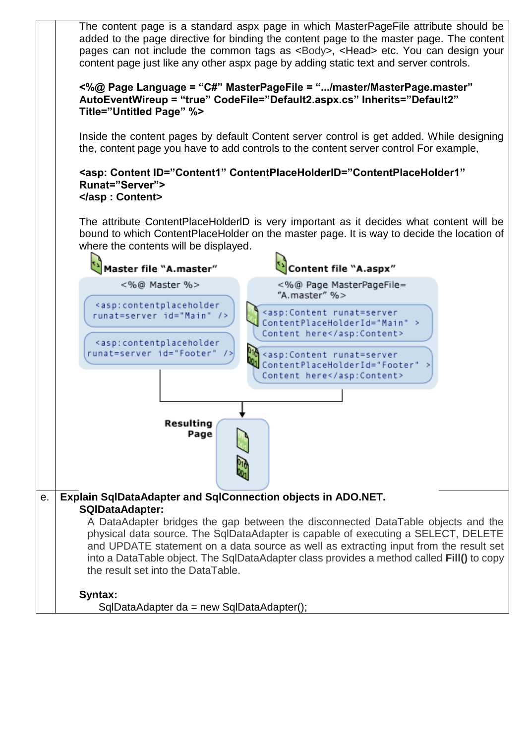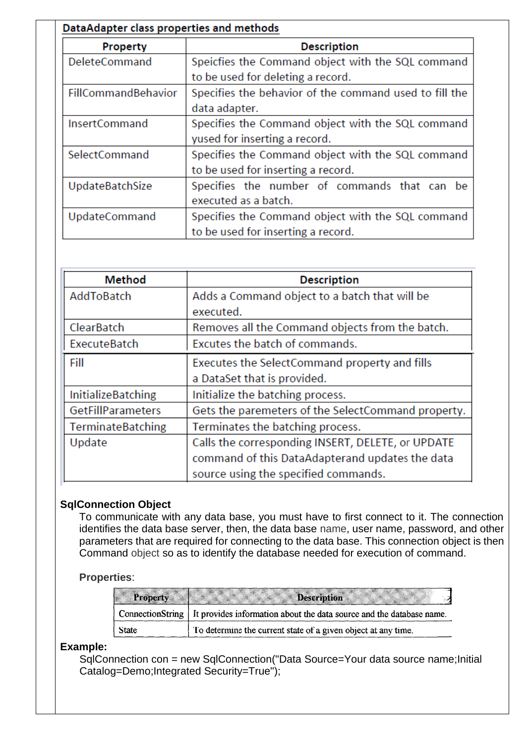| DataAdapter class properties and methods |                                                        |  |
|------------------------------------------|--------------------------------------------------------|--|
| <b>Property</b>                          | <b>Description</b>                                     |  |
| <b>DeleteCommand</b>                     | Speicfies the Command object with the SQL command      |  |
|                                          | to be used for deleting a record.                      |  |
| FillCommandBehavior                      | Specifies the behavior of the command used to fill the |  |
|                                          | data adapter.                                          |  |
| <b>InsertCommand</b>                     | Specifies the Command object with the SQL command      |  |
|                                          | yused for inserting a record.                          |  |
| SelectCommand                            | Specifies the Command object with the SQL command      |  |
|                                          | to be used for inserting a record.                     |  |
| UpdateBatchSize                          | Specifies the number of commands that can be           |  |
|                                          | executed as a batch.                                   |  |
| <b>UpdateCommand</b>                     | Specifies the Command object with the SQL command      |  |
|                                          | to be used for inserting a record.                     |  |

| <b>Method</b>             | <b>Description</b>                                 |
|---------------------------|----------------------------------------------------|
| AddToBatch                | Adds a Command object to a batch that will be      |
|                           | executed.                                          |
| <b>ClearBatch</b>         | Removes all the Command objects from the batch.    |
| ExecuteBatch              | Excutes the batch of commands.                     |
| Fill                      | Executes the SelectCommand property and fills      |
|                           | a DataSet that is provided.                        |
| <b>InitializeBatching</b> | Initialize the batching process.                   |
| <b>GetFillParameters</b>  | Gets the paremeters of the SelectCommand property. |
| <b>TerminateBatching</b>  | Terminates the batching process.                   |
| Update                    | Calls the corresponding INSERT, DELETE, or UPDATE  |
|                           | command of this DataAdapterand updates the data    |
|                           | source using the specified commands.               |

### **SqlConnection Object**

To communicate with any data base, you must have to first connect to it. The connection identifies the data base server, then, the data base name, user name, password, and other parameters that are required for connecting to the data base. This connection object is then Command object so as to identify the database needed for execution of command.

### **Properties**:

| <b>Property</b> | <b>Description</b>                                                                      |
|-----------------|-----------------------------------------------------------------------------------------|
|                 | ConnectionString   It provides information about the data source and the database name. |
| <b>State</b>    | To determine the current state of a given object at any time.                           |

**Example:**

SqlConnection con = new SqlConnection("Data Source=Your data source name;Initial Catalog=Demo;Integrated Security=True");